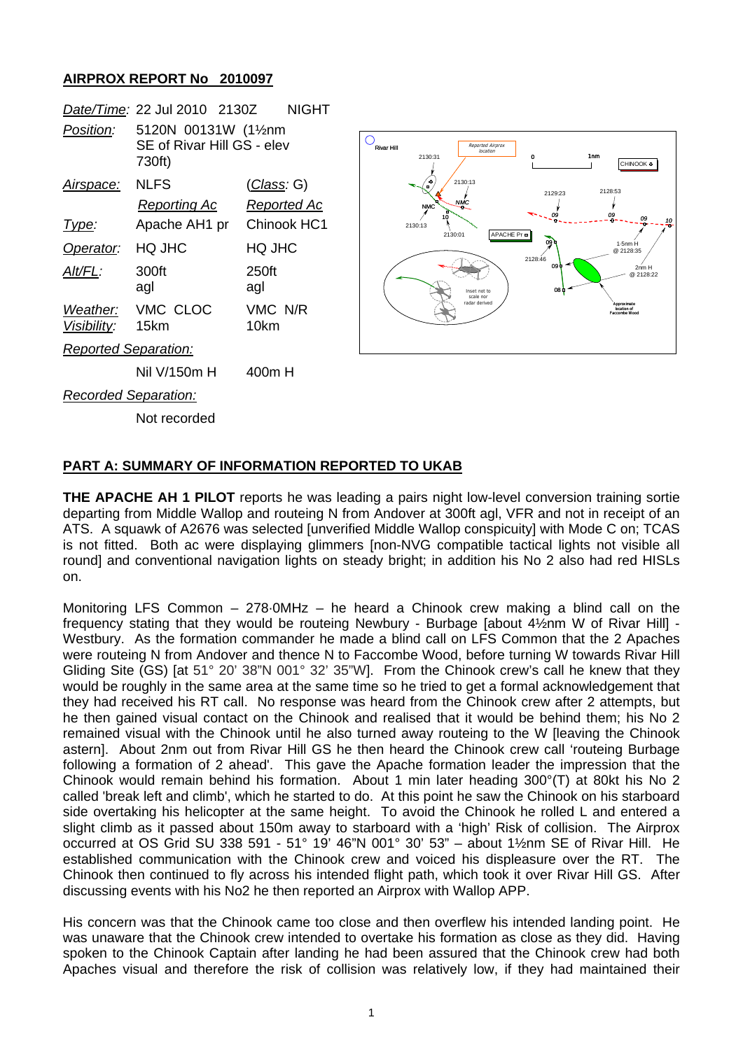## **AIRPROX REPORT No 2010097**

|                             | Date/Time: 22 Jul 2010 2130Z                                 |                    | <b>NIGHT</b> |
|-----------------------------|--------------------------------------------------------------|--------------------|--------------|
| Position:                   | 5120N 00131W (11/2nm<br>SE of Rivar Hill GS - elev<br>730ft) |                    |              |
| <u>Airspace:</u>            | NLFS                                                         | <u>(Class</u> : G) |              |
|                             | Reporting Ac                                                 |                    | Reported Ac  |
| Type:                       | Apache AH1 pr Chinook HC1                                    |                    |              |
| Operator:                   | HQ JHC                                                       | HQ JHC             |              |
| AIt/FL:                     | 300ft<br>agl                                                 | 250ft<br>agl       |              |
| Visibility: 15km            | Weather: VMC CLOC                                            | VMC N/R<br>10km    |              |
| <b>Reported Separation:</b> |                                                              |                    |              |
|                             | Nil V/150m H                                                 | 400m H             |              |
| <b>Recorded Separation:</b> |                                                              |                    |              |

Not recorded



## **PART A: SUMMARY OF INFORMATION REPORTED TO UKAB**

**THE APACHE AH 1 PILOT** reports he was leading a pairs night low-level conversion training sortie departing from Middle Wallop and routeing N from Andover at 300ft agl, VFR and not in receipt of an ATS. A squawk of A2676 was selected [unverified Middle Wallop conspicuity] with Mode C on; TCAS is not fitted. Both ac were displaying glimmers [non-NVG compatible tactical lights not visible all round] and conventional navigation lights on steady bright; in addition his No 2 also had red HISLs on.

Monitoring LFS Common – 278·0MHz – he heard a Chinook crew making a blind call on the frequency stating that they would be routeing Newbury - Burbage [about 4½nm W of Rivar Hill] - Westbury. As the formation commander he made a blind call on LFS Common that the 2 Apaches were routeing N from Andover and thence N to Faccombe Wood, before turning W towards Rivar Hill Gliding Site (GS) [at 51° 20' 38"N 001° 32' 35"W]. From the Chinook crew's call he knew that they would be roughly in the same area at the same time so he tried to get a formal acknowledgement that they had received his RT call. No response was heard from the Chinook crew after 2 attempts, but he then gained visual contact on the Chinook and realised that it would be behind them; his No 2 remained visual with the Chinook until he also turned away routeing to the W [leaving the Chinook astern]. About 2nm out from Rivar Hill GS he then heard the Chinook crew call 'routeing Burbage following a formation of 2 ahead'. This gave the Apache formation leader the impression that the Chinook would remain behind his formation. About 1 min later heading 300°(T) at 80kt his No 2 called 'break left and climb', which he started to do. At this point he saw the Chinook on his starboard side overtaking his helicopter at the same height. To avoid the Chinook he rolled L and entered a slight climb as it passed about 150m away to starboard with a 'high' Risk of collision. The Airprox occurred at OS Grid SU 338 591 - 51° 19' 46"N 001° 30' 53" – about 1½nm SE of Rivar Hill. He established communication with the Chinook crew and voiced his displeasure over the RT. The Chinook then continued to fly across his intended flight path, which took it over Rivar Hill GS. After discussing events with his No2 he then reported an Airprox with Wallop APP.

His concern was that the Chinook came too close and then overflew his intended landing point. He was unaware that the Chinook crew intended to overtake his formation as close as they did. Having spoken to the Chinook Captain after landing he had been assured that the Chinook crew had both Apaches visual and therefore the risk of collision was relatively low, if they had maintained their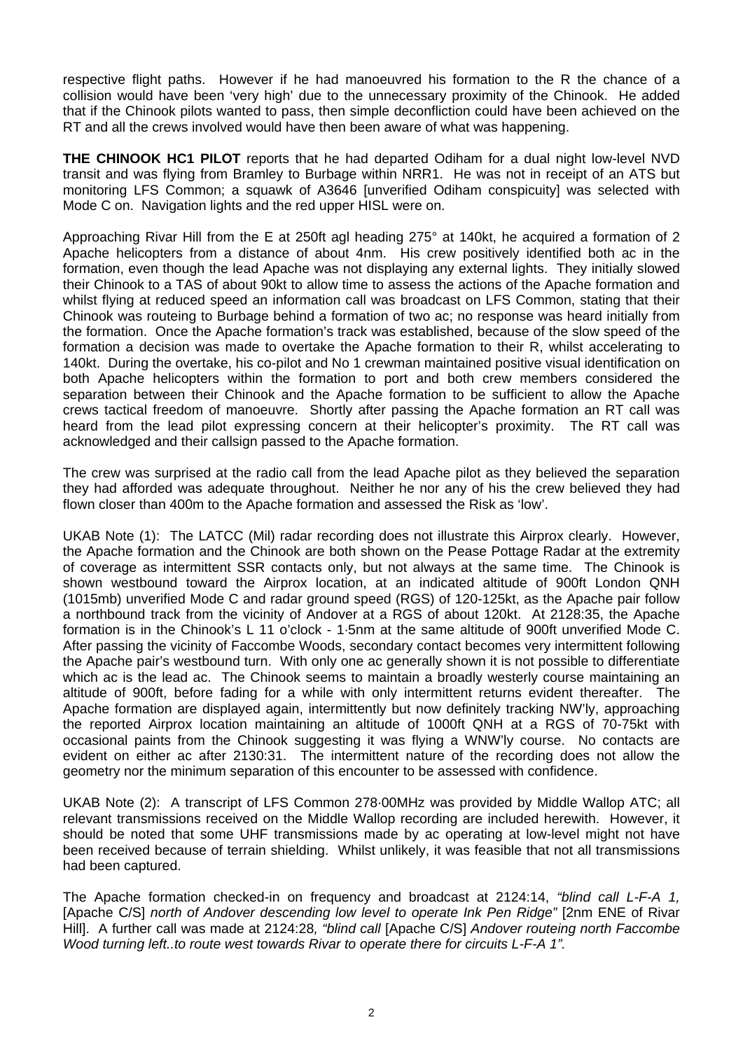respective flight paths. However if he had manoeuvred his formation to the R the chance of a collision would have been 'very high' due to the unnecessary proximity of the Chinook. He added that if the Chinook pilots wanted to pass, then simple deconfliction could have been achieved on the RT and all the crews involved would have then been aware of what was happening.

**THE CHINOOK HC1 PILOT** reports that he had departed Odiham for a dual night low-level NVD transit and was flying from Bramley to Burbage within NRR1. He was not in receipt of an ATS but monitoring LFS Common; a squawk of A3646 [unverified Odiham conspicuity] was selected with Mode C on. Navigation lights and the red upper HISL were on.

Approaching Rivar Hill from the E at 250ft agl heading 275° at 140kt, he acquired a formation of 2 Apache helicopters from a distance of about 4nm. His crew positively identified both ac in the formation, even though the lead Apache was not displaying any external lights. They initially slowed their Chinook to a TAS of about 90kt to allow time to assess the actions of the Apache formation and whilst flying at reduced speed an information call was broadcast on LFS Common, stating that their Chinook was routeing to Burbage behind a formation of two ac; no response was heard initially from the formation. Once the Apache formation's track was established, because of the slow speed of the formation a decision was made to overtake the Apache formation to their R, whilst accelerating to 140kt. During the overtake, his co-pilot and No 1 crewman maintained positive visual identification on both Apache helicopters within the formation to port and both crew members considered the separation between their Chinook and the Apache formation to be sufficient to allow the Apache crews tactical freedom of manoeuvre. Shortly after passing the Apache formation an RT call was heard from the lead pilot expressing concern at their helicopter's proximity. The RT call was acknowledged and their callsign passed to the Apache formation.

The crew was surprised at the radio call from the lead Apache pilot as they believed the separation they had afforded was adequate throughout. Neither he nor any of his the crew believed they had flown closer than 400m to the Apache formation and assessed the Risk as 'low'.

UKAB Note (1): The LATCC (Mil) radar recording does not illustrate this Airprox clearly. However, the Apache formation and the Chinook are both shown on the Pease Pottage Radar at the extremity of coverage as intermittent SSR contacts only, but not always at the same time. The Chinook is shown westbound toward the Airprox location, at an indicated altitude of 900ft London QNH (1015mb) unverified Mode C and radar ground speed (RGS) of 120-125kt, as the Apache pair follow a northbound track from the vicinity of Andover at a RGS of about 120kt. At 2128:35, the Apache formation is in the Chinook's L 11 o'clock - 1·5nm at the same altitude of 900ft unverified Mode C. After passing the vicinity of Faccombe Woods, secondary contact becomes very intermittent following the Apache pair's westbound turn. With only one ac generally shown it is not possible to differentiate which ac is the lead ac. The Chinook seems to maintain a broadly westerly course maintaining an altitude of 900ft, before fading for a while with only intermittent returns evident thereafter. The Apache formation are displayed again, intermittently but now definitely tracking NW'ly, approaching the reported Airprox location maintaining an altitude of 1000ft QNH at a RGS of 70-75kt with occasional paints from the Chinook suggesting it was flying a WNW'ly course. No contacts are evident on either ac after 2130:31. The intermittent nature of the recording does not allow the geometry nor the minimum separation of this encounter to be assessed with confidence.

UKAB Note (2): A transcript of LFS Common 278·00MHz was provided by Middle Wallop ATC; all relevant transmissions received on the Middle Wallop recording are included herewith. However, it should be noted that some UHF transmissions made by ac operating at low-level might not have been received because of terrain shielding. Whilst unlikely, it was feasible that not all transmissions had been captured.

The Apache formation checked-in on frequency and broadcast at 2124:14, *"blind call L-F-A 1,*  [Apache C/S] *north of Andover descending low level to operate Ink Pen Ridge"* [2nm ENE of Rivar Hill]. A further call was made at 2124:28*, "blind call* [Apache C/S] *Andover routeing north Faccombe Wood turning left..to route west towards Rivar to operate there for circuits L-F-A 1".*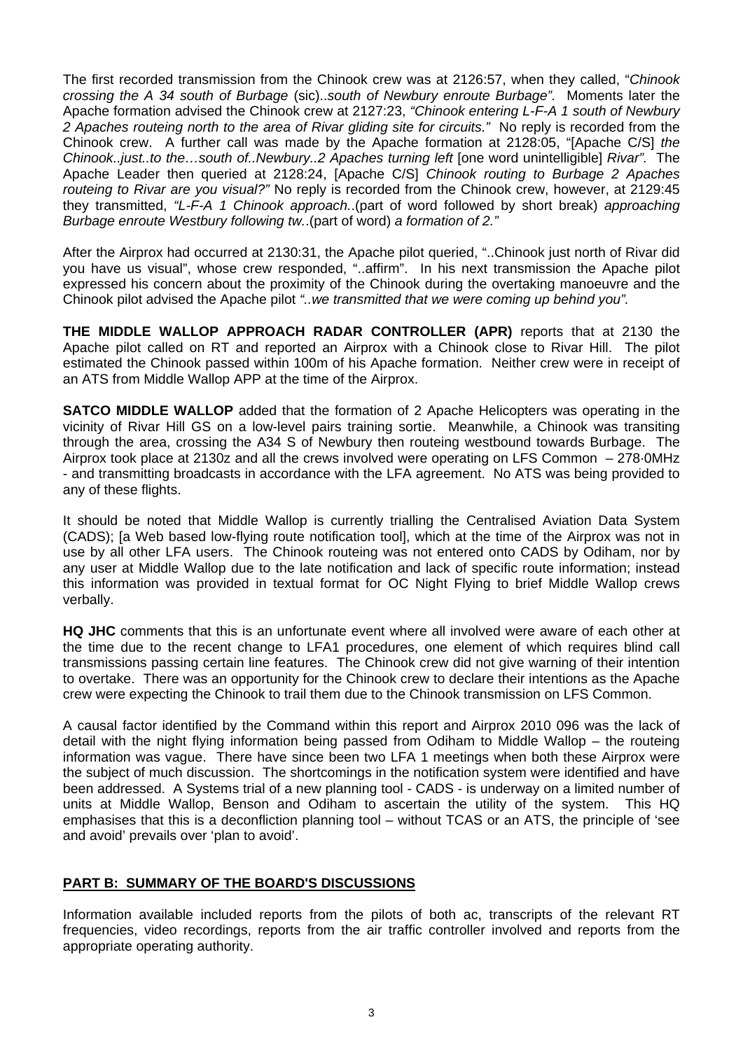The first recorded transmission from the Chinook crew was at 2126:57, when they called, "*Chinook crossing the A 34 south of Burbage* (sic)..*south of Newbury enroute Burbage".* Moments later the Apache formation advised the Chinook crew at 2127:23, *"Chinook entering L-F-A 1 south of Newbury 2 Apaches routeing north to the area of Rivar gliding site for circuits."* No reply is recorded from the Chinook crew. A further call was made by the Apache formation at 2128:05, "[Apache C/S] *the Chinook..just..to the…south of..Newbury..2 Apaches turning left* [one word unintelligible] *Rivar".* The Apache Leader then queried at 2128:24, [Apache C/S] *Chinook routing to Burbage 2 Apaches routeing to Rivar are you visual?"* No reply is recorded from the Chinook crew, however, at 2129:45 they transmitted, *"L-F-A 1 Chinook approach.*.(part of word followed by short break) *approaching Burbage enroute Westbury following tw.*.(part of word) *a formation of 2."* 

After the Airprox had occurred at 2130:31, the Apache pilot queried, "..Chinook just north of Rivar did you have us visual", whose crew responded, "..affirm". In his next transmission the Apache pilot expressed his concern about the proximity of the Chinook during the overtaking manoeuvre and the Chinook pilot advised the Apache pilot *"..we transmitted that we were coming up behind you".*

**THE MIDDLE WALLOP APPROACH RADAR CONTROLLER (APR)** reports that at 2130 the Apache pilot called on RT and reported an Airprox with a Chinook close to Rivar Hill. The pilot estimated the Chinook passed within 100m of his Apache formation. Neither crew were in receipt of an ATS from Middle Wallop APP at the time of the Airprox.

**SATCO MIDDLE WALLOP** added that the formation of 2 Apache Helicopters was operating in the vicinity of Rivar Hill GS on a low-level pairs training sortie. Meanwhile, a Chinook was transiting through the area, crossing the A34 S of Newbury then routeing westbound towards Burbage. The Airprox took place at 2130z and all the crews involved were operating on LFS Common – 278·0MHz - and transmitting broadcasts in accordance with the LFA agreement. No ATS was being provided to any of these flights.

It should be noted that Middle Wallop is currently trialling the Centralised Aviation Data System (CADS); [a Web based low-flying route notification tool], which at the time of the Airprox was not in use by all other LFA users. The Chinook routeing was not entered onto CADS by Odiham, nor by any user at Middle Wallop due to the late notification and lack of specific route information; instead this information was provided in textual format for OC Night Flying to brief Middle Wallop crews verbally.

**HQ JHC** comments that this is an unfortunate event where all involved were aware of each other at the time due to the recent change to LFA1 procedures, one element of which requires blind call transmissions passing certain line features. The Chinook crew did not give warning of their intention to overtake. There was an opportunity for the Chinook crew to declare their intentions as the Apache crew were expecting the Chinook to trail them due to the Chinook transmission on LFS Common.

A causal factor identified by the Command within this report and Airprox 2010 096 was the lack of detail with the night flying information being passed from Odiham to Middle Wallop – the routeing information was vague. There have since been two LFA 1 meetings when both these Airprox were the subject of much discussion. The shortcomings in the notification system were identified and have been addressed. A Systems trial of a new planning tool - CADS - is underway on a limited number of units at Middle Wallop, Benson and Odiham to ascertain the utility of the system. This HQ emphasises that this is a deconfliction planning tool – without TCAS or an ATS, the principle of 'see and avoid' prevails over 'plan to avoid'.

## **PART B: SUMMARY OF THE BOARD'S DISCUSSIONS**

Information available included reports from the pilots of both ac, transcripts of the relevant RT frequencies, video recordings, reports from the air traffic controller involved and reports from the appropriate operating authority.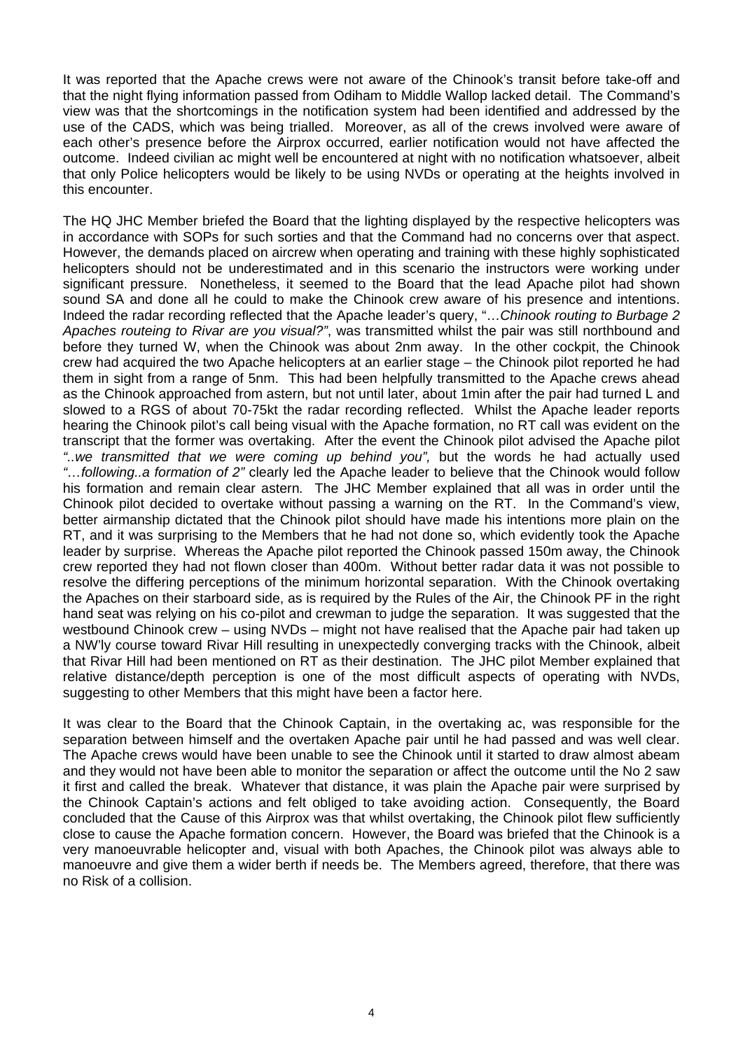It was reported that the Apache crews were not aware of the Chinook's transit before take-off and that the night flying information passed from Odiham to Middle Wallop lacked detail. The Command's view was that the shortcomings in the notification system had been identified and addressed by the use of the CADS, which was being trialled. Moreover, as all of the crews involved were aware of each other's presence before the Airprox occurred, earlier notification would not have affected the outcome. Indeed civilian ac might well be encountered at night with no notification whatsoever, albeit that only Police helicopters would be likely to be using NVDs or operating at the heights involved in this encounter.

The HQ JHC Member briefed the Board that the lighting displayed by the respective helicopters was in accordance with SOPs for such sorties and that the Command had no concerns over that aspect. However, the demands placed on aircrew when operating and training with these highly sophisticated helicopters should not be underestimated and in this scenario the instructors were working under significant pressure. Nonetheless, it seemed to the Board that the lead Apache pilot had shown sound SA and done all he could to make the Chinook crew aware of his presence and intentions. Indeed the radar recording reflected that the Apache leader's query, "…*Chinook routing to Burbage 2 Apaches routeing to Rivar are you visual?"*, was transmitted whilst the pair was still northbound and before they turned W, when the Chinook was about 2nm away. In the other cockpit, the Chinook crew had acquired the two Apache helicopters at an earlier stage – the Chinook pilot reported he had them in sight from a range of 5nm. This had been helpfully transmitted to the Apache crews ahead as the Chinook approached from astern, but not until later, about 1min after the pair had turned L and slowed to a RGS of about 70-75kt the radar recording reflected. Whilst the Apache leader reports hearing the Chinook pilot's call being visual with the Apache formation, no RT call was evident on the transcript that the former was overtaking. After the event the Chinook pilot advised the Apache pilot *"..we transmitted that we were coming up behind you",* but the words he had actually used *"…following..a formation of 2"* clearly led the Apache leader to believe that the Chinook would follow his formation and remain clear astern*.* The JHC Member explained that all was in order until the Chinook pilot decided to overtake without passing a warning on the RT. In the Command's view, better airmanship dictated that the Chinook pilot should have made his intentions more plain on the RT, and it was surprising to the Members that he had not done so, which evidently took the Apache leader by surprise. Whereas the Apache pilot reported the Chinook passed 150m away, the Chinook crew reported they had not flown closer than 400m. Without better radar data it was not possible to resolve the differing perceptions of the minimum horizontal separation. With the Chinook overtaking the Apaches on their starboard side, as is required by the Rules of the Air, the Chinook PF in the right hand seat was relying on his co-pilot and crewman to judge the separation. It was suggested that the westbound Chinook crew – using NVDs – might not have realised that the Apache pair had taken up a NW'ly course toward Rivar Hill resulting in unexpectedly converging tracks with the Chinook, albeit that Rivar Hill had been mentioned on RT as their destination. The JHC pilot Member explained that relative distance/depth perception is one of the most difficult aspects of operating with NVDs, suggesting to other Members that this might have been a factor here.

It was clear to the Board that the Chinook Captain, in the overtaking ac, was responsible for the separation between himself and the overtaken Apache pair until he had passed and was well clear. The Apache crews would have been unable to see the Chinook until it started to draw almost abeam and they would not have been able to monitor the separation or affect the outcome until the No 2 saw it first and called the break. Whatever that distance, it was plain the Apache pair were surprised by the Chinook Captain's actions and felt obliged to take avoiding action. Consequently, the Board concluded that the Cause of this Airprox was that whilst overtaking, the Chinook pilot flew sufficiently close to cause the Apache formation concern. However, the Board was briefed that the Chinook is a very manoeuvrable helicopter and, visual with both Apaches, the Chinook pilot was always able to manoeuvre and give them a wider berth if needs be. The Members agreed, therefore, that there was no Risk of a collision.